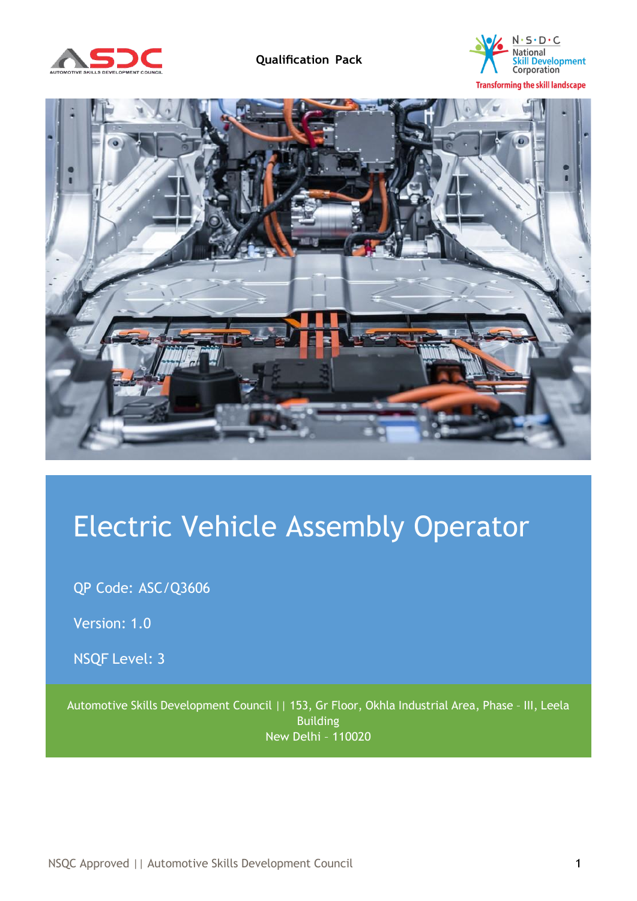





# Electric Vehicle Assembly Operator

QP Code: ASC/Q3606

Version: 1.0

NSQF Level: 3

<span id="page-0-0"></span>Automotive Skills Development Council || 153, Gr Floor, Okhla Industrial Area, Phase – III, Leela Building New Delhi – 110020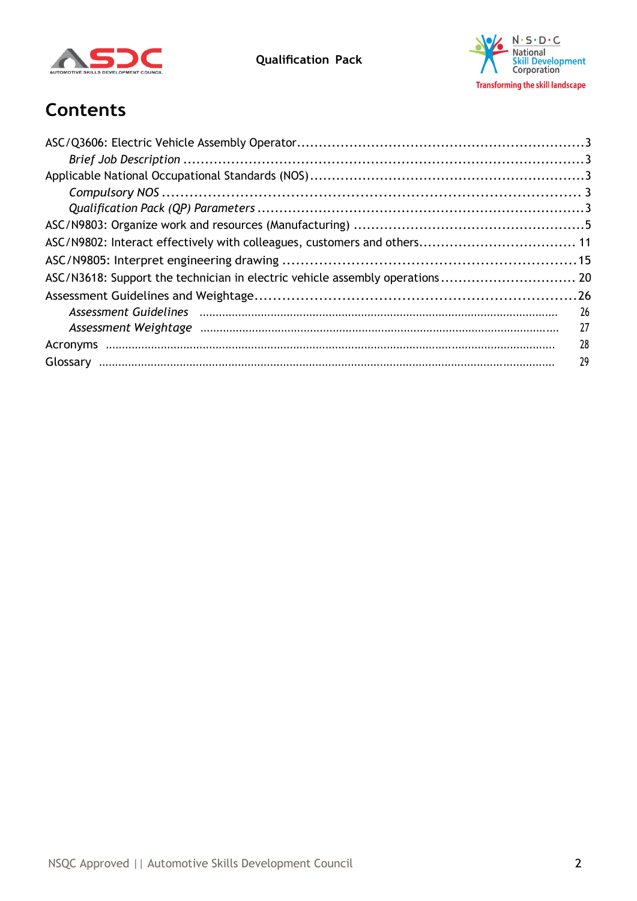

**Qualification Pack**



# **Contents**

| ASC/N3618: Support the technician in electric vehicle assembly operations 20 |     |
|------------------------------------------------------------------------------|-----|
|                                                                              |     |
|                                                                              | 26  |
|                                                                              | -27 |
|                                                                              | 28  |
|                                                                              | 29  |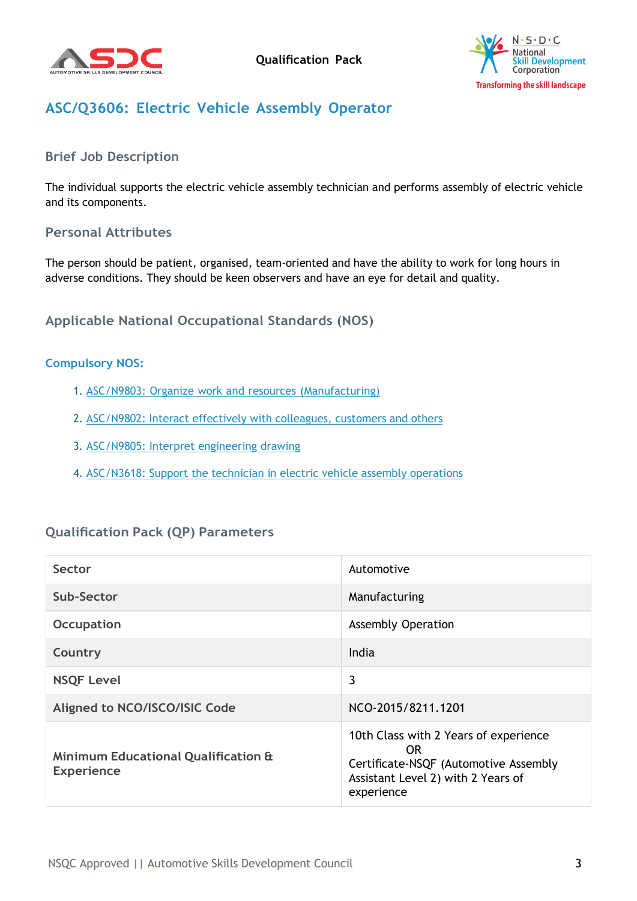



# <span id="page-2-0"></span>**ASC/Q3606: Electric Vehicle Assembly Operator**

### <span id="page-2-1"></span>**Brief Job Description**

The individual supports the electric vehicle assembly technician and performs assembly of electric vehicle and its components.

#### **Personal Attributes**

The person should be patient, organised, team-oriented and have the ability to work for long hours in adverse conditions. They should be keen observers and have an eye for detail and quality.

#### <span id="page-2-2"></span>**Applicable National Occupational Standards (NOS)**

#### <span id="page-2-3"></span>**Compulsory NOS:**

- 1. ASC/N9803: Organize work and resources [\(Manufacturing\)](#page-0-0)
- 2. [ASC/N9802:](#page-0-0) Interact effectively with colleagues, customers and others
- 3. [ASC/N9805:](#page-0-0) Interpret engineering drawing
- 4. [ASC/N3618:](#page-0-0) Support the technician in electric vehicle assembly operations

#### <span id="page-2-4"></span>**Qualification Pack (QP) Parameters**

| Sector                                                              | Automotive                                                                                                                                |
|---------------------------------------------------------------------|-------------------------------------------------------------------------------------------------------------------------------------------|
| Sub-Sector                                                          | Manufacturing                                                                                                                             |
| Occupation                                                          | <b>Assembly Operation</b>                                                                                                                 |
| Country                                                             | India                                                                                                                                     |
| <b>NSQF Level</b>                                                   | 3                                                                                                                                         |
| Aligned to NCO/ISCO/ISIC Code                                       | NCO-2015/8211.1201                                                                                                                        |
| <b>Minimum Educational Qualification &amp;</b><br><b>Experience</b> | 10th Class with 2 Years of experience<br>OR.<br>Certificate-NSQF (Automotive Assembly<br>Assistant Level 2) with 2 Years of<br>experience |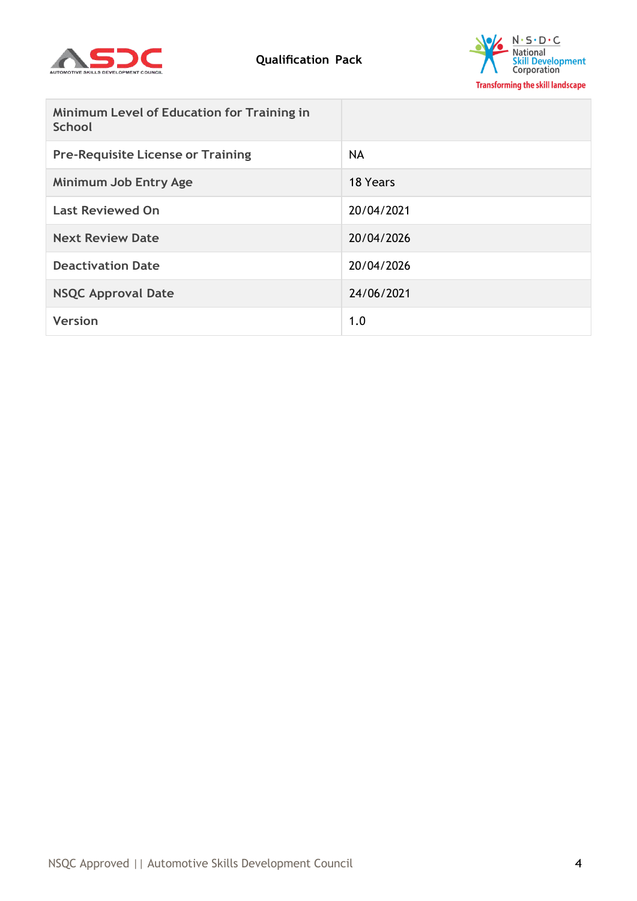



| <b>Minimum Level of Education for Training in</b><br><b>School</b> |            |
|--------------------------------------------------------------------|------------|
| <b>Pre-Requisite License or Training</b>                           | <b>NA</b>  |
| <b>Minimum Job Entry Age</b>                                       | 18 Years   |
| <b>Last Reviewed On</b>                                            | 20/04/2021 |
| <b>Next Review Date</b>                                            | 20/04/2026 |
| <b>Deactivation Date</b>                                           | 20/04/2026 |
| <b>NSQC Approval Date</b>                                          | 24/06/2021 |
| <b>Version</b>                                                     | 1.0        |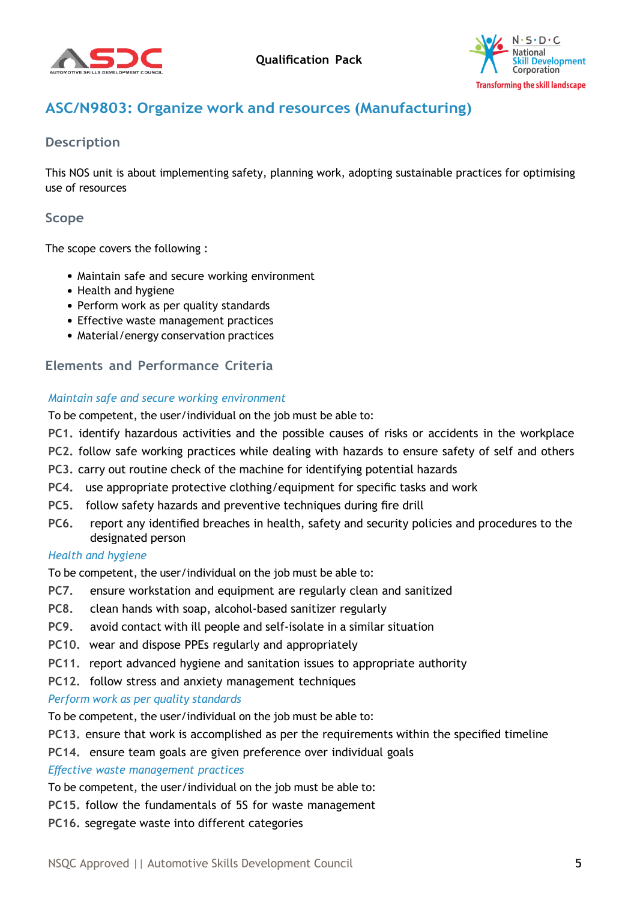



# <span id="page-4-0"></span>**ASC/N9803: Organize work and resources (Manufacturing)**

## **Description**

This NOS unit is about implementing safety, planning work, adopting sustainable practices for optimising use of resources

## **Scope**

The scope covers the following :

- Maintain safe and secure working environment
- Health and hygiene
- Perform work as per quality standards
- Effective waste management practices
- Material/energy conservation practices

### **Elements and Performance Criteria**

#### *Maintain safe and secure working environment*

To be competent, the user/individual on the job must be able to:

- **PC1.** identify hazardous activities and the possible causes of risks or accidents in the workplace
- **PC2.** follow safe working practices while dealing with hazards to ensure safety of self and others
- **PC3.** carry out routine check of the machine for identifying potential hazards
- **PC4.** use appropriate protective clothing/equipment for specific tasks and work
- **PC5.** follow safety hazards and preventive techniques during fire drill
- **PC6.** report any identified breaches in health, safety and security policies and procedures to the designated person

#### *Health and hygiene*

To be competent, the user/individual on the job must be able to:

- **PC7.** ensure workstation and equipment are regularly clean and sanitized
- **PC8.** clean hands with soap, alcohol-based sanitizer regularly
- **PC9.** avoid contact with ill people and self-isolate in a similar situation
- **PC10.** wear and dispose PPEs regularly and appropriately
- **PC11.** report advanced hygiene and sanitation issues to appropriate authority
- **PC12.** follow stress and anxiety management techniques

#### *Perform work as per quality standards*

To be competent, the user/individual on the job must be able to:

- **PC13.** ensure that work is accomplished as per the requirements within the specified timeline
- **PC14.** ensure team goals are given preference over individual goals

#### *Effective waste management practices*

To be competent, the user/individual on the job must be able to:

- **PC15.** follow the fundamentals of 5S for waste management
- **PC16.** segregate waste into different categories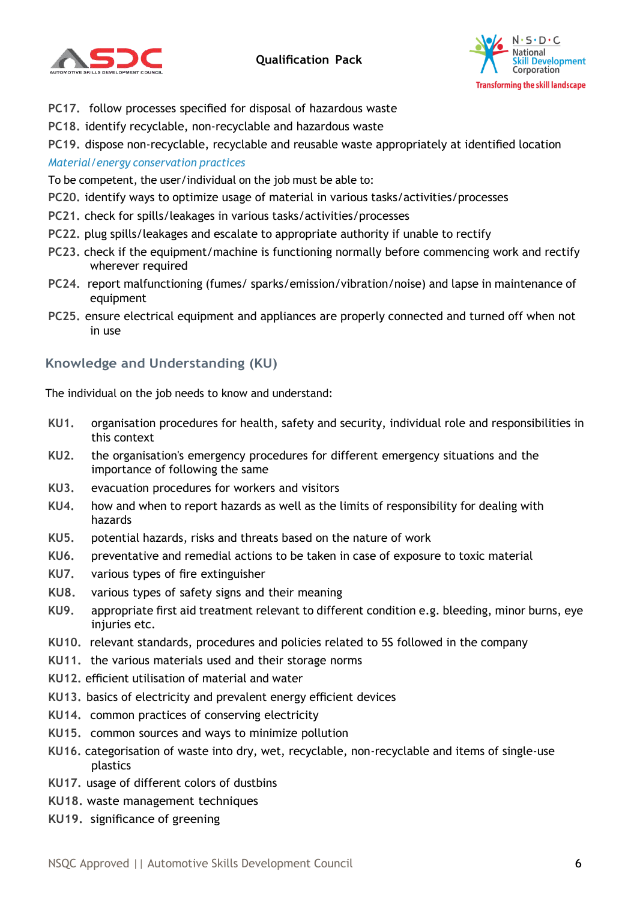

# **Qualification Pack**



- **PC17.** follow processes specified for disposal of hazardous waste
- **PC18.** identify recyclable, non-recyclable and hazardous waste

**PC19.** dispose non-recyclable, recyclable and reusable waste appropriately at identified location *Material/energy conservation practices*

To be competent, the user/individual on the job must be able to:

- **PC20.** identify ways to optimize usage of material in various tasks/activities/processes
- **PC21.** check for spills/leakages in various tasks/activities/processes
- **PC22.** plug spills/leakages and escalate to appropriate authority if unable to rectify
- **PC23.** check if the equipment/machine is functioning normally before commencing work and rectify wherever required
- **PC24.** report malfunctioning (fumes/ sparks/emission/vibration/noise) and lapse in maintenance of equipment
- **PC25.** ensure electrical equipment and appliances are properly connected and turned off when not in use

# **Knowledge and Understanding (KU)**

The individual on the job needs to know and understand:

- **KU1.** organisation procedures for health, safety and security, individual role and responsibilities in this context
- **KU2.** the organisation's emergency procedures for different emergency situations and the importance of following the same
- **KU3.** evacuation procedures for workers and visitors
- **KU4.** how and when to report hazards as well as the limits of responsibility for dealing with hazards
- **KU5.** potential hazards, risks and threats based on the nature of work
- **KU6.** preventative and remedial actions to be taken in case of exposure to toxic material
- **KU7.** various types of fire extinguisher
- **KU8.** various types of safety signs and their meaning
- **KU9.** appropriate first aid treatment relevant to different condition e.g. bleeding, minor burns, eye injuries etc.
- **KU10.** relevant standards, procedures and policies related to 5S followed in the company
- **KU11.** the various materials used and their storage norms
- **KU12.** efficient utilisation of material and water
- **KU13.** basics of electricity and prevalent energy efficient devices
- **KU14.** common practices of conserving electricity
- **KU15.** common sources and ways to minimize pollution
- **KU16.** categorisation of waste into dry, wet, recyclable, non-recyclable and items of single-use plastics
- **KU17.** usage of different colors of dustbins
- **KU18.** waste management techniques
- **KU19.** significance of greening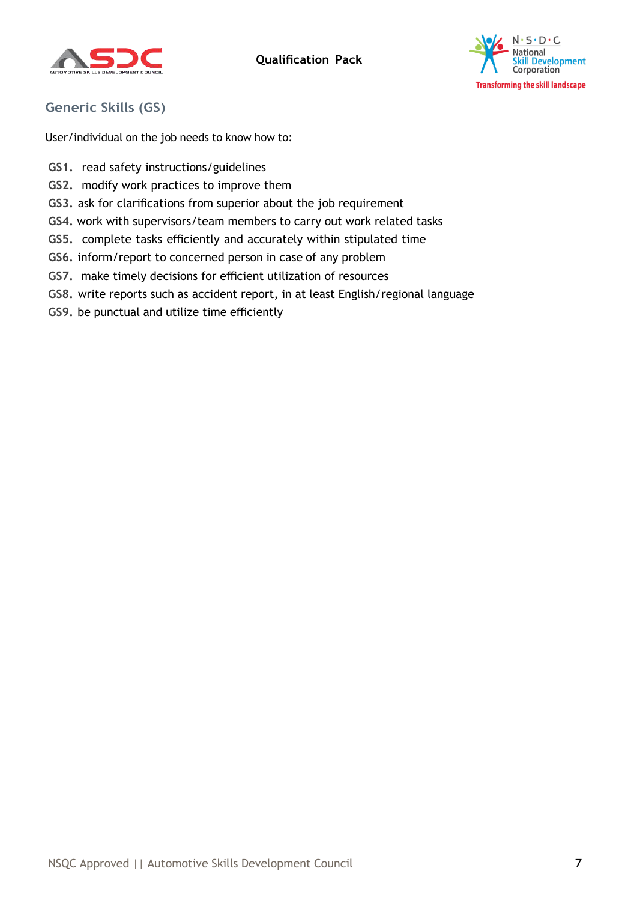



# **Generic Skills (GS)**

User/individual on the job needs to know how to:

- **GS1.** read safety instructions/guidelines
- **GS2.** modify work practices to improve them
- **GS3.** ask for clarifications from superior about the job requirement
- **GS4.** work with supervisors/team members to carry out work related tasks
- **GS5.** complete tasks efficiently and accurately within stipulated time
- **GS6.** inform/report to concerned person in case of any problem
- **GS7.** make timely decisions for efficient utilization of resources
- **GS8.** write reports such as accident report, in at least English/regional language
- **GS9.** be punctual and utilize time efficiently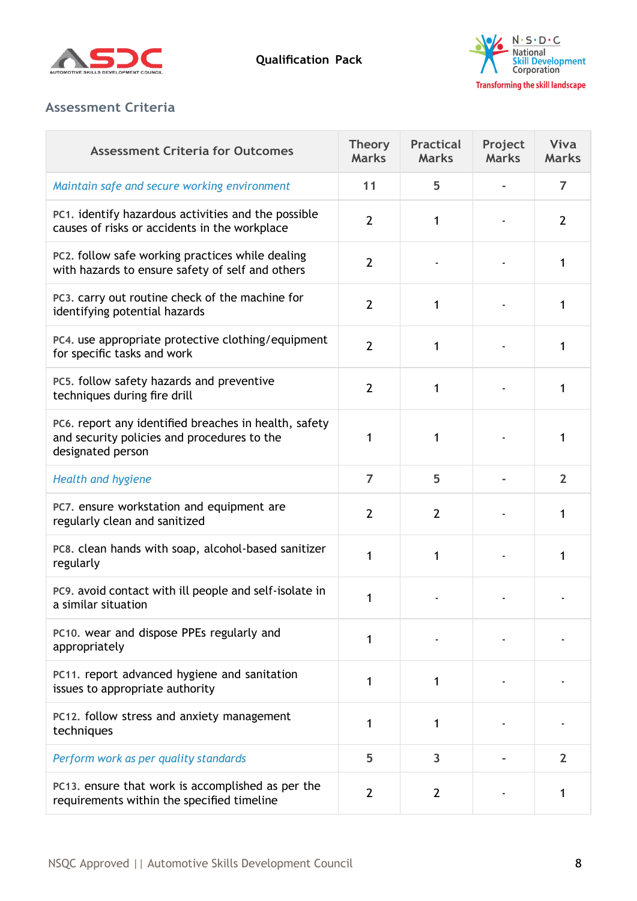



# **Assessment Criteria**

| <b>Assessment Criteria for Outcomes</b>                                                                                   | <b>Theory</b><br><b>Marks</b> | <b>Practical</b><br><b>Marks</b> | Project<br><b>Marks</b> | Viva<br><b>Marks</b> |
|---------------------------------------------------------------------------------------------------------------------------|-------------------------------|----------------------------------|-------------------------|----------------------|
| Maintain safe and secure working environment                                                                              | 11                            | 5                                |                         | $\overline{7}$       |
| PC1. identify hazardous activities and the possible<br>causes of risks or accidents in the workplace                      | $\overline{2}$                | 1                                |                         | 2                    |
| PC2. follow safe working practices while dealing<br>with hazards to ensure safety of self and others                      | $\overline{2}$                |                                  |                         | 1                    |
| PC3. carry out routine check of the machine for<br>identifying potential hazards                                          | $\overline{2}$                | 1                                |                         | 1                    |
| PC4. use appropriate protective clothing/equipment<br>for specific tasks and work                                         | $\overline{2}$                | 1                                |                         | 1                    |
| PC5. follow safety hazards and preventive<br>techniques during fire drill                                                 | $\overline{2}$                | 1                                |                         | 1                    |
| PC6. report any identified breaches in health, safety<br>and security policies and procedures to the<br>designated person | 1                             | 1                                |                         |                      |
| <b>Health and hygiene</b>                                                                                                 | $\overline{7}$                | 5                                |                         | $\overline{2}$       |
| PC7. ensure workstation and equipment are<br>regularly clean and sanitized                                                | $\overline{2}$                | $\overline{2}$                   |                         | 1                    |
| PC8. clean hands with soap, alcohol-based sanitizer<br>regularly                                                          | 1                             | 1                                |                         | 1                    |
| PC9. avoid contact with ill people and self-isolate in<br>a similar situation                                             | 1                             |                                  |                         |                      |
| PC10. wear and dispose PPEs regularly and<br>appropriately                                                                | 1                             |                                  |                         |                      |
| PC11. report advanced hygiene and sanitation<br>issues to appropriate authority                                           | 1                             | 1                                |                         |                      |
| PC12. follow stress and anxiety management<br>techniques                                                                  | 1                             | 1                                |                         |                      |
| Perform work as per quality standards                                                                                     | 5                             | 3                                |                         | $\overline{2}$       |
| PC13. ensure that work is accomplished as per the<br>requirements within the specified timeline                           | $\overline{2}$                | $\overline{2}$                   |                         | 1                    |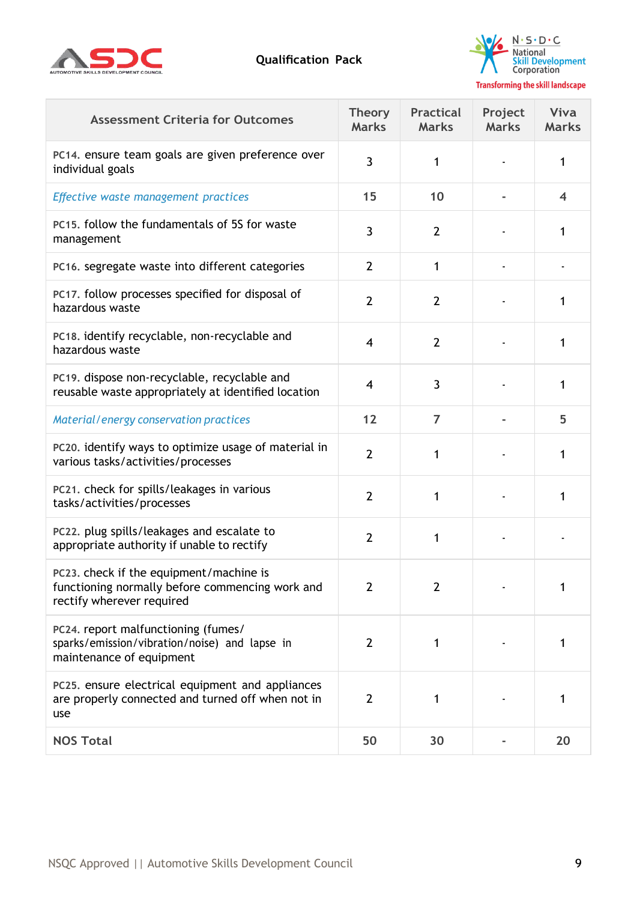



| <b>Assessment Criteria for Outcomes</b>                                                                                 | <b>Theory</b><br><b>Marks</b> | <b>Practical</b><br><b>Marks</b> | Project<br><b>Marks</b> | Viva<br><b>Marks</b> |
|-------------------------------------------------------------------------------------------------------------------------|-------------------------------|----------------------------------|-------------------------|----------------------|
| PC14. ensure team goals are given preference over<br>individual goals                                                   | 3                             | 1                                |                         | 1                    |
| Effective waste management practices                                                                                    | 15                            | 10                               |                         | 4                    |
| PC15. follow the fundamentals of 5S for waste<br>management                                                             | 3                             | $\overline{2}$                   |                         | 1                    |
| PC16. segregate waste into different categories                                                                         | $\overline{2}$                | 1                                |                         |                      |
| PC17. follow processes specified for disposal of<br>hazardous waste                                                     | $\overline{2}$                | $\overline{2}$                   |                         | 1                    |
| PC18. identify recyclable, non-recyclable and<br>hazardous waste                                                        | $\overline{4}$                | $\overline{2}$                   |                         | 1                    |
| PC19. dispose non-recyclable, recyclable and<br>reusable waste appropriately at identified location                     | $\overline{4}$                | 3                                |                         | 1                    |
| Material/energy conservation practices                                                                                  | 12                            | $\overline{7}$                   |                         | 5                    |
| PC20. identify ways to optimize usage of material in<br>various tasks/activities/processes                              | $\overline{2}$                | 1                                |                         | 1                    |
| PC21. check for spills/leakages in various<br>tasks/activities/processes                                                | $\overline{2}$                | 1                                |                         | 1                    |
| PC22. plug spills/leakages and escalate to<br>appropriate authority if unable to rectify                                | $\overline{2}$                | 1                                |                         |                      |
| PC23, check if the equipment/machine is<br>functioning normally before commencing work and<br>rectify wherever required | $\overline{2}$                | $\overline{2}$                   |                         |                      |
| PC24. report malfunctioning (fumes/<br>sparks/emission/vibration/noise) and lapse in<br>maintenance of equipment        | $\overline{2}$                | 1                                |                         | 1                    |
| PC25. ensure electrical equipment and appliances<br>are properly connected and turned off when not in<br>use            | $\overline{2}$                | 1                                |                         | 1                    |
| <b>NOS Total</b>                                                                                                        | 50                            | 30                               |                         | 20                   |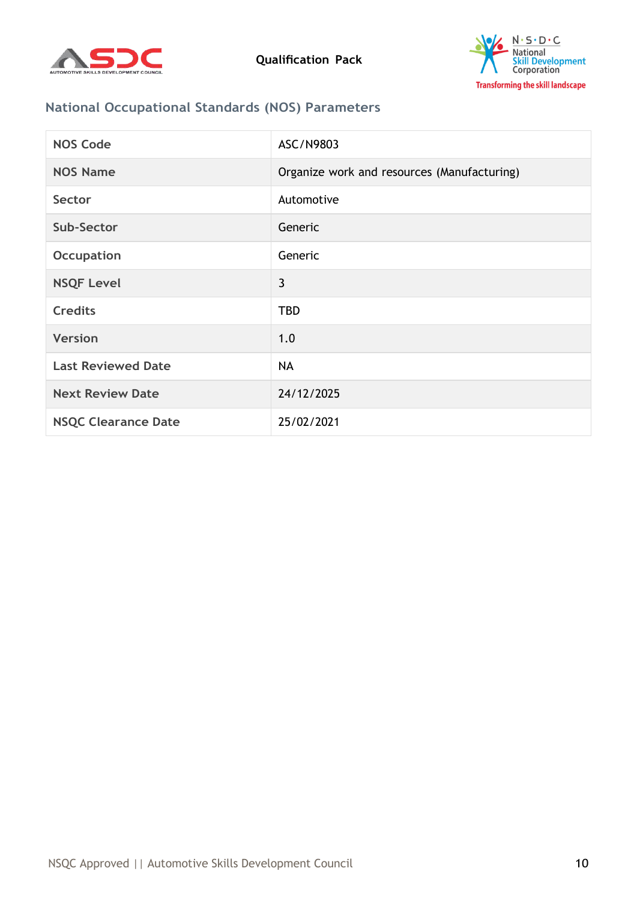



# **National Occupational Standards (NOS) Parameters**

| <b>NOS Code</b>            | ASC/N9803                                   |
|----------------------------|---------------------------------------------|
| <b>NOS Name</b>            | Organize work and resources (Manufacturing) |
| Sector                     | Automotive                                  |
| Sub-Sector                 | Generic                                     |
| Occupation                 | Generic                                     |
| <b>NSQF Level</b>          | 3                                           |
| <b>Credits</b>             | <b>TBD</b>                                  |
| <b>Version</b>             | 1.0                                         |
| <b>Last Reviewed Date</b>  | <b>NA</b>                                   |
| <b>Next Review Date</b>    | 24/12/2025                                  |
| <b>NSQC Clearance Date</b> | 25/02/2021                                  |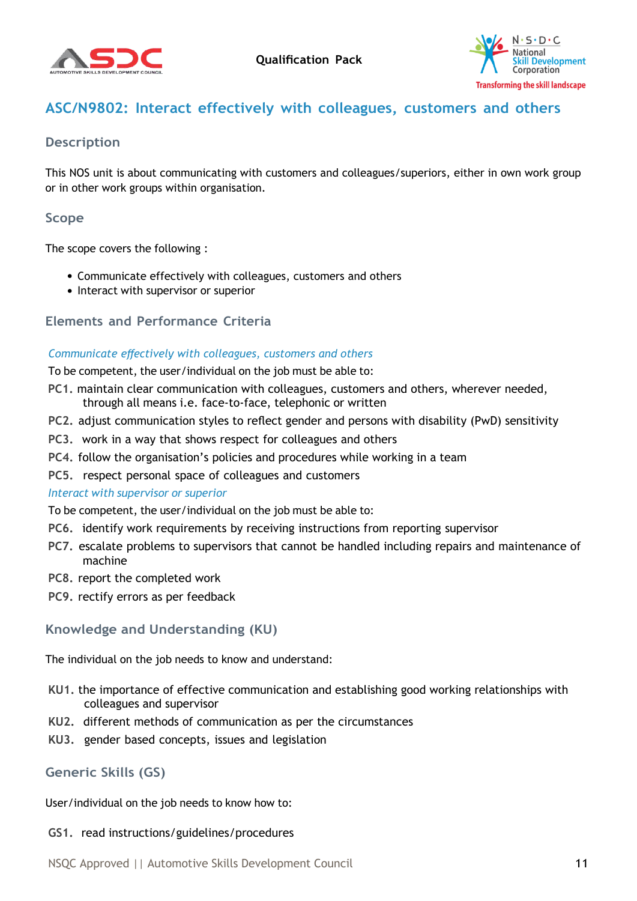



# <span id="page-10-0"></span>**ASC/N9802: Interact effectively with colleagues, customers and others**

## **Description**

This NOS unit is about communicating with customers and colleagues/superiors, either in own work group or in other work groups within organisation.

### **Scope**

The scope covers the following :

- Communicate effectively with colleagues, customers and others
- Interact with supervisor or superior

### **Elements and Performance Criteria**

#### *Communicate effectively with colleagues, customers and others*

To be competent, the user/individual on the job must be able to:

- **PC1.** maintain clear communication with colleagues, customers and others, wherever needed, through all means i.e. face-to-face, telephonic or written
- **PC2.** adjust communication styles to reflect gender and persons with disability (PwD) sensitivity
- **PC3.** work in a way that shows respect for colleagues and others
- **PC4.** follow the organisation's policies and procedures while working in a team
- **PC5.** respect personal space of colleagues and customers

#### *Interact with supervisor or superior*

To be competent, the user/individual on the job must be able to:

- **PC6.** identify work requirements by receiving instructions from reporting supervisor
- **PC7.** escalate problems to supervisors that cannot be handled including repairs and maintenance of machine
- **PC8.** report the completed work
- **PC9.** rectify errors as per feedback

# **Knowledge and Understanding (KU)**

The individual on the job needs to know and understand:

- **KU1.** the importance of effective communication and establishing good working relationships with colleagues and supervisor
- **KU2.** different methods of communication as per the circumstances
- **KU3.** gender based concepts, issues and legislation

# **Generic Skills (GS)**

User/individual on the job needs to know how to:

#### **GS1.** read instructions/guidelines/procedures

NSQC Approved || Automotive Skills Development Council 11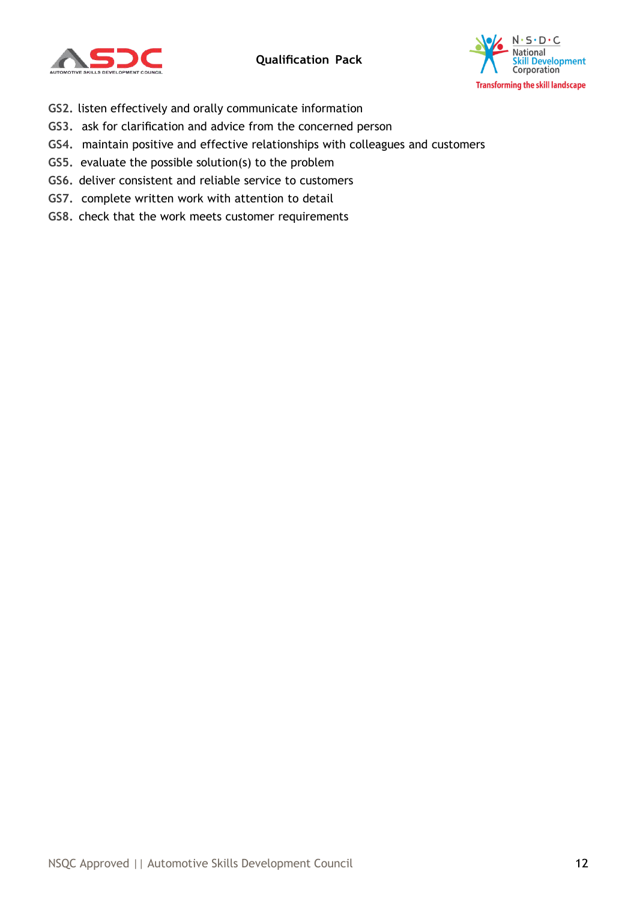



- **GS2.** listen effectively and orally communicate information
- **GS3.** ask for clarification and advice from the concerned person
- **GS4.** maintain positive and effective relationships with colleagues and customers
- **GS5.** evaluate the possible solution(s) to the problem
- **GS6.** deliver consistent and reliable service to customers
- **GS7.** complete written work with attention to detail
- **GS8.** check that the work meets customer requirements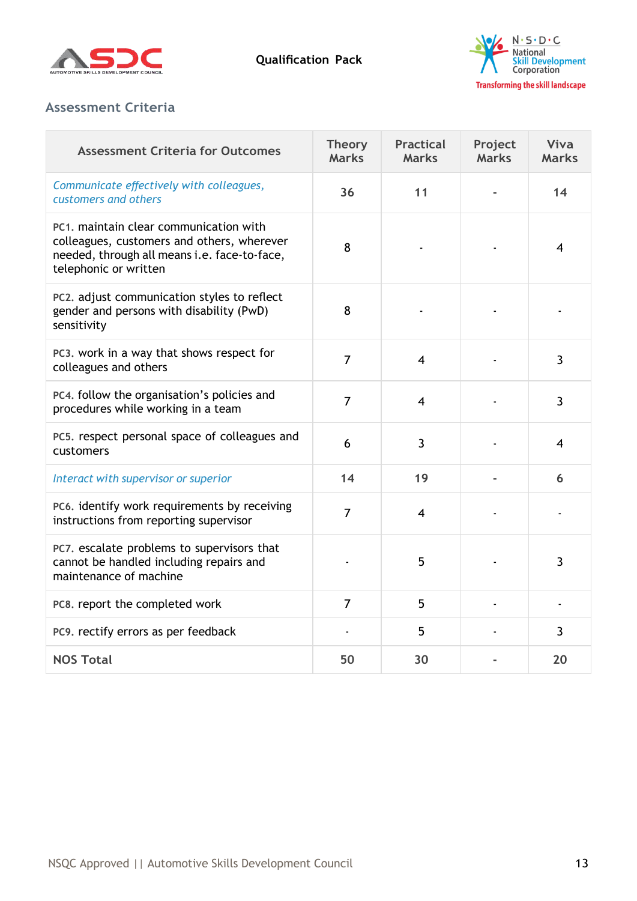



# **Assessment Criteria**

| <b>Assessment Criteria for Outcomes</b>                                                                                                                       | <b>Theory</b><br><b>Marks</b> | <b>Practical</b><br><b>Marks</b> | Project<br><b>Marks</b> | Viva<br><b>Marks</b> |
|---------------------------------------------------------------------------------------------------------------------------------------------------------------|-------------------------------|----------------------------------|-------------------------|----------------------|
| Communicate effectively with colleagues,<br>customers and others                                                                                              | 36                            | 11                               |                         | 14                   |
| PC1, maintain clear communication with<br>colleagues, customers and others, wherever<br>needed, through all means i.e. face-to-face,<br>telephonic or written | 8                             |                                  |                         | 4                    |
| PC2. adjust communication styles to reflect<br>gender and persons with disability (PwD)<br>sensitivity                                                        | 8                             |                                  |                         |                      |
| PC3. work in a way that shows respect for<br>colleagues and others                                                                                            | $\overline{7}$                | $\overline{\mathbf{4}}$          |                         | 3                    |
| PC4. follow the organisation's policies and<br>procedures while working in a team                                                                             | $\overline{7}$                | $\overline{4}$                   |                         | 3                    |
| PC5. respect personal space of colleagues and<br>customers                                                                                                    | 6                             | $\overline{3}$                   |                         | 4                    |
| Interact with supervisor or superior                                                                                                                          | 14                            | 19                               |                         | 6                    |
| PC6. identify work requirements by receiving<br>instructions from reporting supervisor                                                                        | $\overline{7}$                | $\overline{4}$                   |                         |                      |
| PC7. escalate problems to supervisors that<br>cannot be handled including repairs and<br>maintenance of machine                                               |                               | 5                                |                         | 3                    |
| PC8. report the completed work                                                                                                                                | $\overline{7}$                | 5                                |                         |                      |
| PC9. rectify errors as per feedback                                                                                                                           |                               | 5                                |                         | 3                    |
| <b>NOS Total</b>                                                                                                                                              | 50                            | 30                               |                         | 20                   |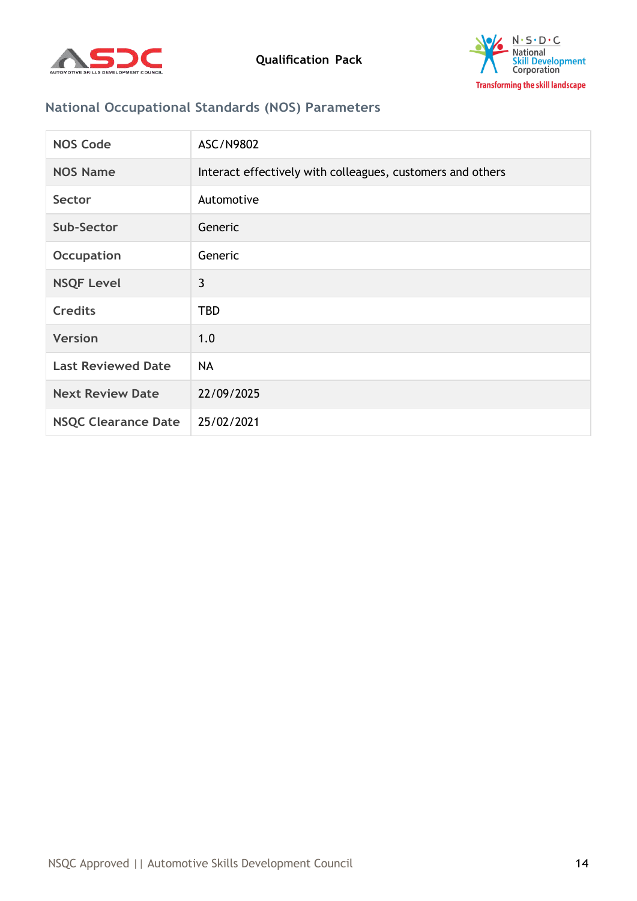



# **National Occupational Standards (NOS) Parameters**

| <b>NOS Code</b>            | ASC/N9802                                                  |
|----------------------------|------------------------------------------------------------|
| <b>NOS Name</b>            | Interact effectively with colleagues, customers and others |
| Sector                     | Automotive                                                 |
| Sub-Sector                 | Generic                                                    |
| <b>Occupation</b>          | Generic                                                    |
| <b>NSQF Level</b>          | 3                                                          |
| <b>Credits</b>             | <b>TBD</b>                                                 |
| <b>Version</b>             | 1.0                                                        |
| <b>Last Reviewed Date</b>  | <b>NA</b>                                                  |
| <b>Next Review Date</b>    | 22/09/2025                                                 |
| <b>NSQC Clearance Date</b> | 25/02/2021                                                 |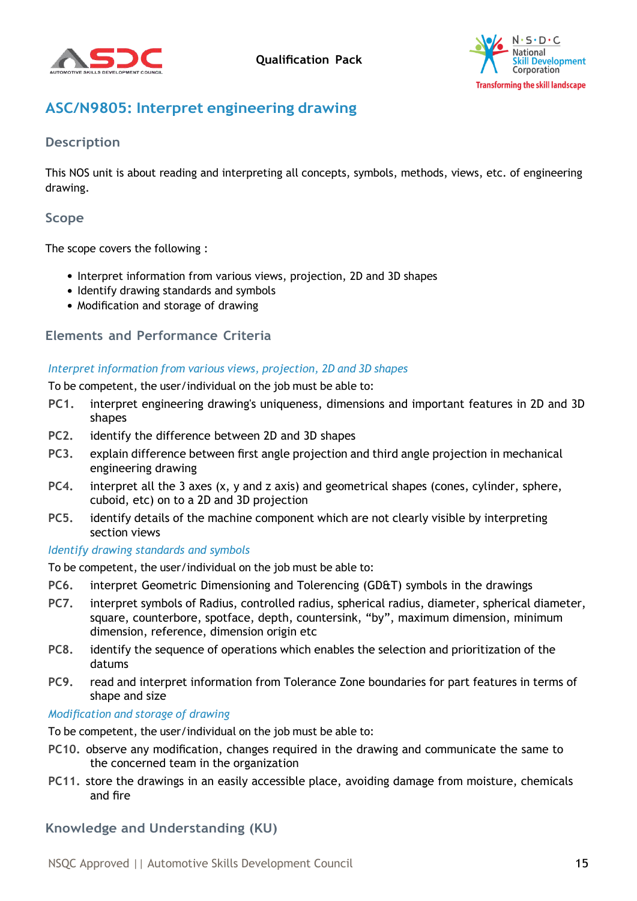



# <span id="page-14-0"></span>**ASC/N9805: Interpret engineering drawing**

# **Description**

This NOS unit is about reading and interpreting all concepts, symbols, methods, views, etc. of engineering drawing.

## **Scope**

The scope covers the following :

- Interpret information from various views, projection, 2D and 3D shapes
- Identify drawing standards and symbols
- Modification and storage of drawing

### **Elements and Performance Criteria**

#### *Interpret information from various views, projection, 2D and 3D shapes*

To be competent, the user/individual on the job must be able to:

- **PC1.** interpret engineering drawing's uniqueness, dimensions and important features in 2D and 3D shapes
- **PC2.** identify the difference between 2D and 3D shapes
- **PC3.** explain difference between first angle projection and third angle projection in mechanical engineering drawing
- **PC4.** interpret all the 3 axes (x, y and z axis) and geometrical shapes (cones, cylinder, sphere, cuboid, etc) on to a 2D and 3D projection
- **PC5.** identify details of the machine component which are not clearly visible by interpreting section views

#### *Identify drawing standards and symbols*

To be competent, the user/individual on the job must be able to:

- **PC6.** interpret Geometric Dimensioning and Tolerencing (GD&T) symbols in the drawings
- **PC7.** interpret symbols of Radius, controlled radius, spherical radius, diameter, spherical diameter, square, counterbore, spotface, depth, countersink, "by", maximum dimension, minimum dimension, reference, dimension origin etc
- **PC8.** identify the sequence of operations which enables the selection and prioritization of the datums
- **PC9.** read and interpret information from Tolerance Zone boundaries for part features in terms of shape and size

#### *Modification and storage of drawing*

- To be competent, the user/individual on the job must be able to:
- **PC10.** observe any modification, changes required in the drawing and communicate the same to the concerned team in the organization
- **PC11.** store the drawings in an easily accessible place, avoiding damage from moisture, chemicals and fire

# **Knowledge and Understanding (KU)**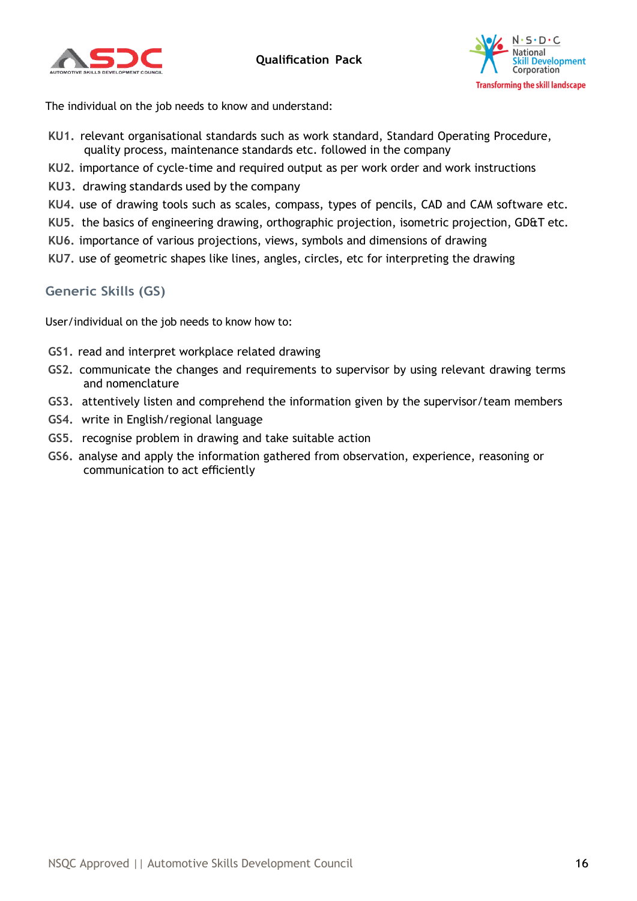



The individual on the job needs to know and understand:

- **KU1.** relevant organisational standards such as work standard, Standard Operating Procedure, quality process, maintenance standards etc. followed in the company
- **KU2.** importance of cycle-time and required output as per work order and work instructions
- **KU3.** drawing standards used by the company
- **KU4.** use of drawing tools such as scales, compass, types of pencils, CAD and CAM software etc.
- **KU5.** the basics of engineering drawing, orthographic projection, isometric projection, GD&T etc.
- **KU6.** importance of various projections, views, symbols and dimensions of drawing
- **KU7.** use of geometric shapes like lines, angles, circles, etc for interpreting the drawing

### **Generic Skills (GS)**

User/individual on the job needs to know how to:

- **GS1.** read and interpret workplace related drawing
- **GS2.** communicate the changes and requirements to supervisor by using relevant drawing terms and nomenclature
- **GS3.** attentively listen and comprehend the information given by the supervisor/team members
- **GS4.** write in English/regional language
- **GS5.** recognise problem in drawing and take suitable action
- **GS6.** analyse and apply the information gathered from observation, experience, reasoning or communication to act efficiently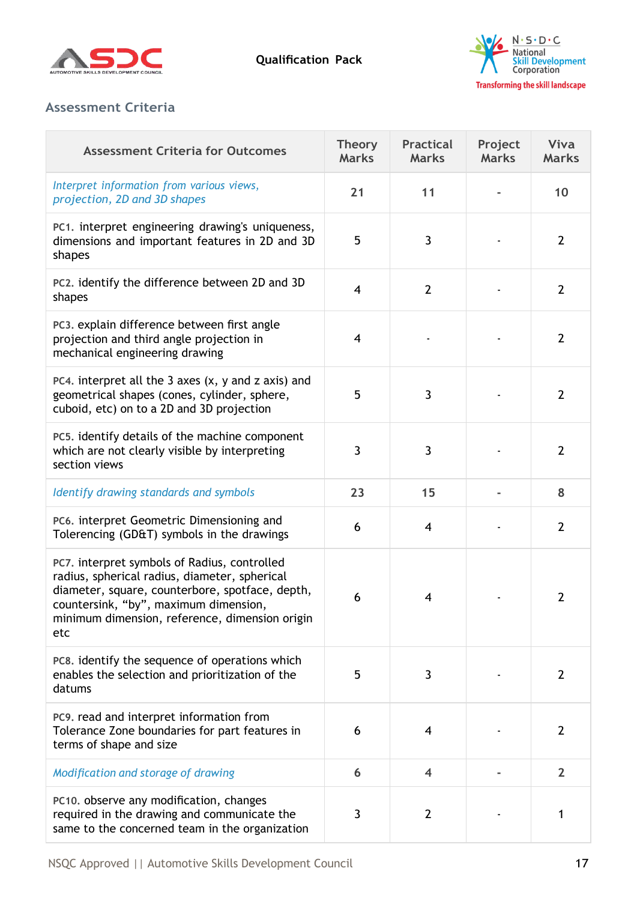



# **Assessment Criteria**

| <b>Assessment Criteria for Outcomes</b>                                                                                                                                                                                                            | <b>Theory</b><br><b>Marks</b> | <b>Practical</b><br><b>Marks</b> | Project<br><b>Marks</b> | Viva<br><b>Marks</b> |
|----------------------------------------------------------------------------------------------------------------------------------------------------------------------------------------------------------------------------------------------------|-------------------------------|----------------------------------|-------------------------|----------------------|
| Interpret information from various views,<br>projection, 2D and 3D shapes                                                                                                                                                                          | 21                            | 11                               |                         | 10                   |
| PC1. interpret engineering drawing's uniqueness,<br>dimensions and important features in 2D and 3D<br>shapes                                                                                                                                       | 5                             | 3                                |                         | $\overline{2}$       |
| PC2. identify the difference between 2D and 3D<br>shapes                                                                                                                                                                                           | $\overline{4}$                | $\overline{2}$                   |                         | $\overline{2}$       |
| PC3. explain difference between first angle<br>projection and third angle projection in<br>mechanical engineering drawing                                                                                                                          | $\overline{4}$                |                                  |                         | $\overline{2}$       |
| PC4. interpret all the 3 axes $(x, y, z)$ and $z$ axis) and<br>geometrical shapes (cones, cylinder, sphere,<br>cuboid, etc) on to a 2D and 3D projection                                                                                           | 5                             | 3                                |                         | $\overline{2}$       |
| PC5. identify details of the machine component<br>which are not clearly visible by interpreting<br>section views                                                                                                                                   | 3                             | 3                                |                         | $\overline{2}$       |
| Identify drawing standards and symbols                                                                                                                                                                                                             | 23                            | 15                               |                         | 8                    |
| PC6. interpret Geometric Dimensioning and<br>Tolerencing (GD&T) symbols in the drawings                                                                                                                                                            | 6                             | 4                                |                         | $\overline{2}$       |
| PC7. interpret symbols of Radius, controlled<br>radius, spherical radius, diameter, spherical<br>diameter, square, counterbore, spotface, depth,<br>countersink, "by", maximum dimension,<br>minimum dimension, reference, dimension origin<br>etc | 6                             | $\overline{4}$                   |                         | $\overline{2}$       |
| PC8. identify the sequence of operations which<br>enables the selection and prioritization of the<br>datums                                                                                                                                        | 5                             | 3                                |                         | $\overline{2}$       |
| PC9. read and interpret information from<br>Tolerance Zone boundaries for part features in<br>terms of shape and size                                                                                                                              | 6                             | $\overline{4}$                   |                         | $\overline{2}$       |
| Modification and storage of drawing                                                                                                                                                                                                                | 6                             | $\overline{\mathbf{4}}$          |                         | $\mathbf{2}$         |
| PC10. observe any modification, changes<br>required in the drawing and communicate the<br>same to the concerned team in the organization                                                                                                           | 3                             | $\overline{2}$                   |                         | 1                    |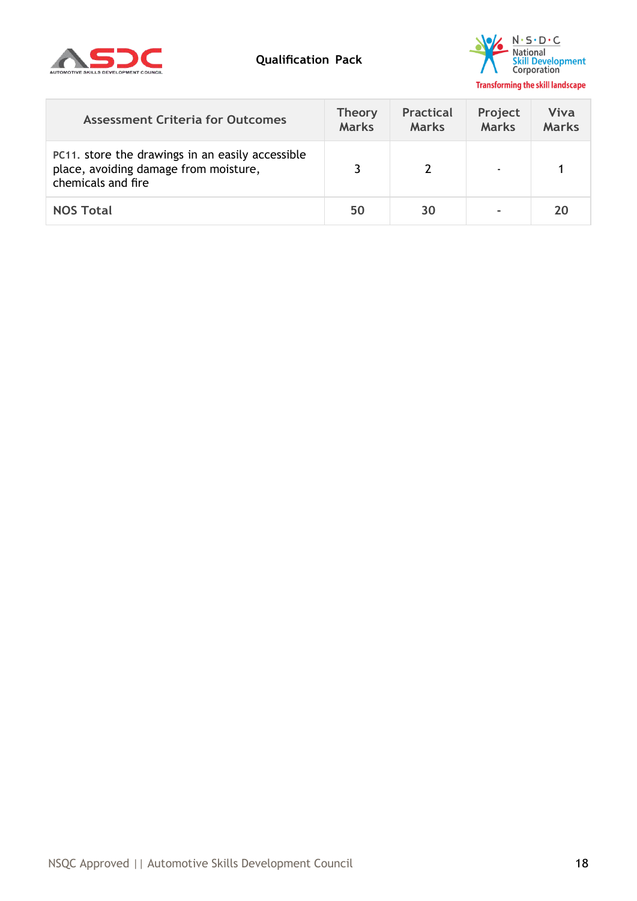



| <b>Assessment Criteria for Outcomes</b>                                                                         | <b>Theory</b><br><b>Marks</b> | <b>Practical</b><br><b>Marks</b> | Project<br><b>Marks</b> | Viva<br><b>Marks</b> |
|-----------------------------------------------------------------------------------------------------------------|-------------------------------|----------------------------------|-------------------------|----------------------|
| PC11. store the drawings in an easily accessible<br>place, avoiding damage from moisture,<br>chemicals and fire |                               |                                  |                         |                      |
| <b>NOS Total</b>                                                                                                | 50                            | 30                               |                         | 20                   |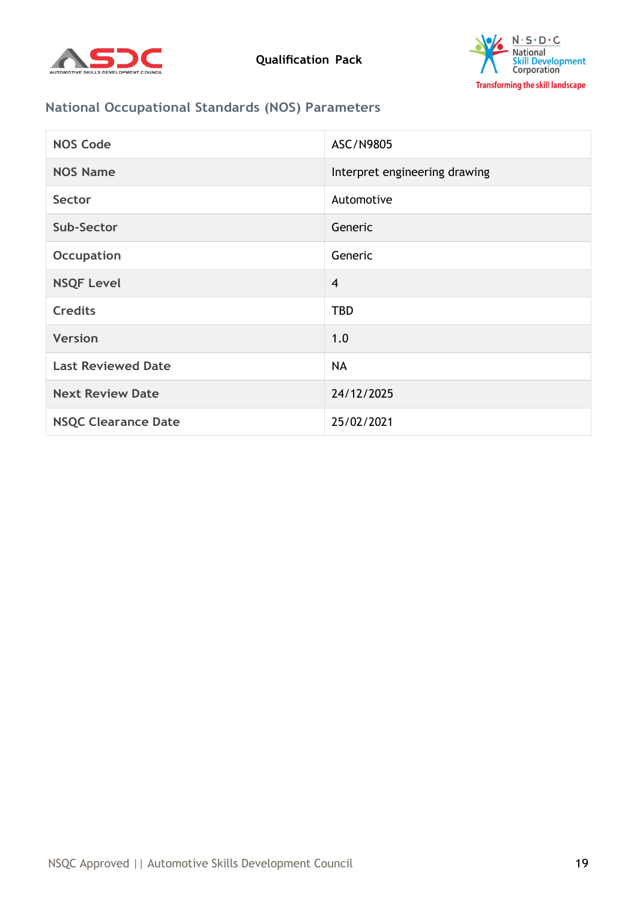



# **National Occupational Standards (NOS) Parameters**

| <b>NOS Code</b>            | ASC/N9805                     |
|----------------------------|-------------------------------|
| <b>NOS Name</b>            | Interpret engineering drawing |
| Sector                     | Automotive                    |
| Sub-Sector                 | Generic                       |
| <b>Occupation</b>          | Generic                       |
| <b>NSQF Level</b>          | $\overline{4}$                |
| <b>Credits</b>             | <b>TBD</b>                    |
| <b>Version</b>             | 1.0                           |
| <b>Last Reviewed Date</b>  | <b>NA</b>                     |
| <b>Next Review Date</b>    | 24/12/2025                    |
| <b>NSQC Clearance Date</b> | 25/02/2021                    |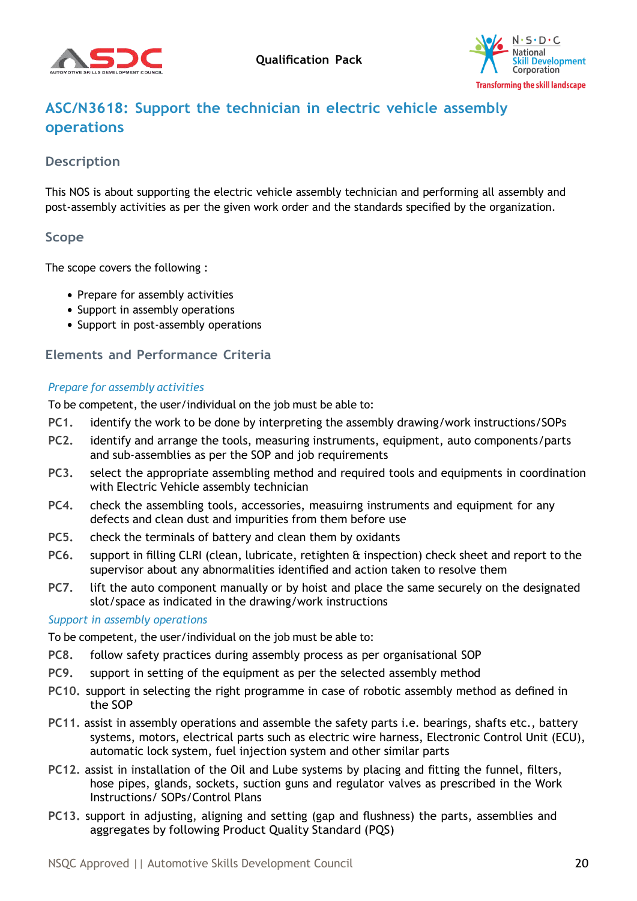



# <span id="page-19-0"></span>**ASC/N3618: Support the technician in electric vehicle assembly operations**

## **Description**

This NOS is about supporting the electric vehicle assembly technician and performing all assembly and post-assembly activities as per the given work order and the standards specified by the organization.

### **Scope**

The scope covers the following :

- Prepare for assembly activities
- Support in assembly operations
- Support in post-assembly operations

### **Elements and Performance Criteria**

#### *Prepare for assembly activities*

To be competent, the user/individual on the job must be able to:

- **PC1.** identify the work to be done by interpreting the assembly drawing/work instructions/SOPs
- **PC2.** identify and arrange the tools, measuring instruments, equipment, auto components/parts and sub-assemblies as per the SOP and job requirements
- **PC3.** select the appropriate assembling method and required tools and equipments in coordination with Electric Vehicle assembly technician
- **PC4.** check the assembling tools, accessories, measuirng instruments and equipment for any defects and clean dust and impurities from them before use
- **PC5.** check the terminals of battery and clean them by oxidants
- **PC6.** support in filling CLRI (clean, lubricate, retighten & inspection) check sheet and report to the supervisor about any abnormalities identified and action taken to resolve them
- **PC7.** lift the auto component manually or by hoist and place the same securely on the designated slot/space as indicated in the drawing/work instructions

#### *Support in assembly operations*

To be competent, the user/individual on the job must be able to:

- **PC8.** follow safety practices during assembly process as per organisational SOP
- **PC9.** support in setting of the equipment as per the selected assembly method
- **PC10.** support in selecting the right programme in case of robotic assembly method as defined in the SOP
- **PC11.** assist in assembly operations and assemble the safety parts i.e. bearings, shafts etc., battery systems, motors, electrical parts such as electric wire harness, Electronic Control Unit (ECU), automatic lock system, fuel injection system and other similar parts
- **PC12.** assist in installation of the Oil and Lube systems by placing and fitting the funnel, filters, hose pipes, glands, sockets, suction guns and regulator valves as prescribed in the Work Instructions/ SOPs/Control Plans
- **PC13.** support in adjusting, aligning and setting (gap and flushness) the parts, assemblies and aggregates by following Product Quality Standard (PQS)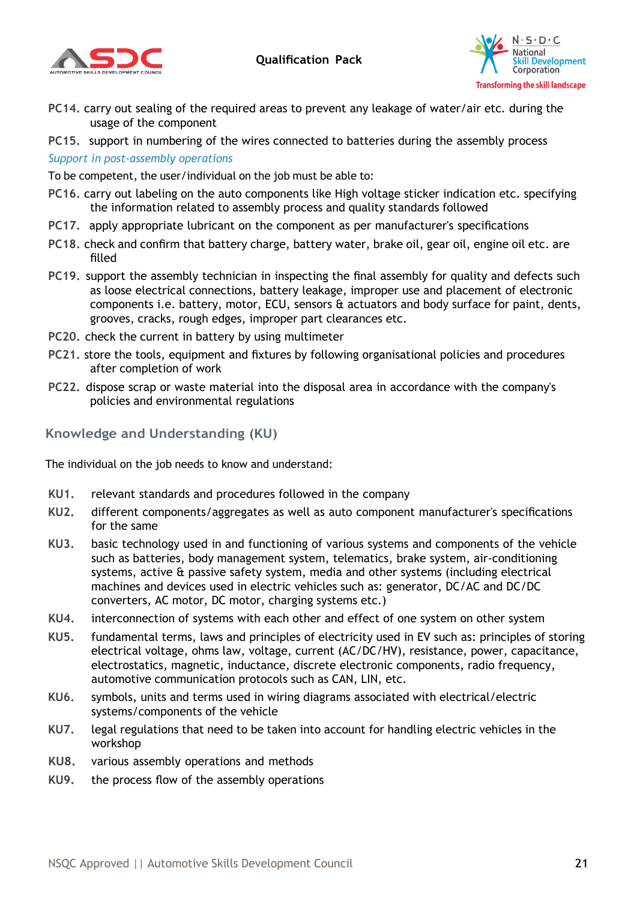



- **PC14.** carry out sealing of the required areas to prevent any leakage of water/air etc. during the usage of the component
- **PC15.** support in numbering of the wires connected to batteries during the assembly process

#### *Support in post-assembly operations*

To be competent, the user/individual on the job must be able to:

- **PC16.** carry out labeling on the auto components like High voltage sticker indication etc. specifying the information related to assembly process and quality standards followed
- **PC17.** apply appropriate lubricant on the component as per manufacturer's specifications
- **PC18.** check and confirm that battery charge, battery water, brake oil, gear oil, engine oil etc. are filled
- **PC19.** support the assembly technician in inspecting the final assembly for quality and defects such as loose electrical connections, battery leakage, improper use and placement of electronic components i.e. battery, motor, ECU, sensors & actuators and body surface for paint, dents, grooves, cracks, rough edges, improper part clearances etc.
- **PC20.** check the current in battery by using multimeter
- **PC21.** store the tools, equipment and fixtures by following organisational policies and procedures after completion of work
- **PC22.** dispose scrap or waste material into the disposal area in accordance with the company's policies and environmental regulations

# **Knowledge and Understanding (KU)**

The individual on the job needs to know and understand:

- **KU1.** relevant standards and procedures followed in the company
- **KU2.** different components/aggregates as well as auto component manufacturer's specifications for the same
- **KU3.** basic technology used in and functioning of various systems and components of the vehicle such as batteries, body management system, telematics, brake system, air-conditioning systems, active & passive safety system, media and other systems (including electrical machines and devices used in electric vehicles such as: generator, DC/AC and DC/DC converters, AC motor, DC motor, charging systems etc.)
- **KU4.** interconnection of systems with each other and effect of one system on other system
- **KU5.** fundamental terms, laws and principles of electricity used in EV such as: principles of storing electrical voltage, ohms law, voltage, current (AC/DC/HV), resistance, power, capacitance, electrostatics, magnetic, inductance, discrete electronic components, radio frequency, automotive communication protocols such as CAN, LIN, etc.
- **KU6.** symbols, units and terms used in wiring diagrams associated with electrical/electric systems/components of the vehicle
- **KU7.** legal regulations that need to be taken into account for handling electric vehicles in the workshop
- **KU8.** various assembly operations and methods
- **KU9.** the process flow of the assembly operations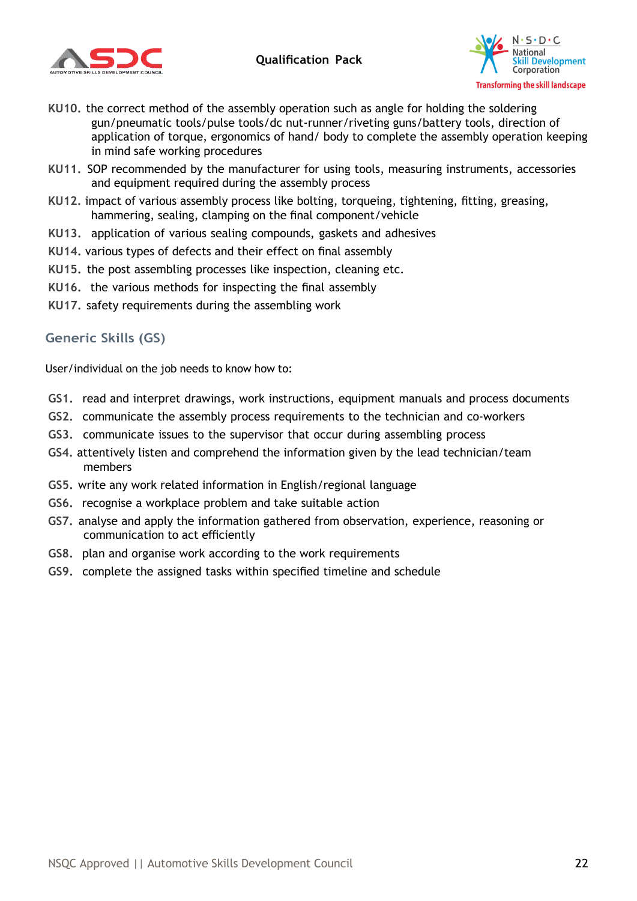



- **KU10.** the correct method of the assembly operation such as angle for holding the soldering gun/pneumatic tools/pulse tools/dc nut-runner/riveting guns/battery tools, direction of application of torque, ergonomics of hand/ body to complete the assembly operation keeping in mind safe working procedures
- **KU11.** SOP recommended by the manufacturer for using tools, measuring instruments, accessories and equipment required during the assembly process
- **KU12.** impact of various assembly process like bolting, torqueing, tightening, fitting, greasing, hammering, sealing, clamping on the final component/vehicle
- **KU13.** application of various sealing compounds, gaskets and adhesives
- **KU14.** various types of defects and their effect on final assembly
- **KU15.** the post assembling processes like inspection, cleaning etc.
- **KU16.** the various methods for inspecting the final assembly
- **KU17.** safety requirements during the assembling work

### **Generic Skills (GS)**

User/individual on the job needs to know how to:

- **GS1.** read and interpret drawings, work instructions, equipment manuals and process documents
- **GS2.** communicate the assembly process requirements to the technician and co-workers
- **GS3.** communicate issues to the supervisor that occur during assembling process
- **GS4.** attentively listen and comprehend the information given by the lead technician/team members
- **GS5.** write any work related information in English/regional language
- **GS6.** recognise a workplace problem and take suitable action
- **GS7.** analyse and apply the information gathered from observation, experience, reasoning or communication to act efficiently
- **GS8.** plan and organise work according to the work requirements
- **GS9.** complete the assigned tasks within specified timeline and schedule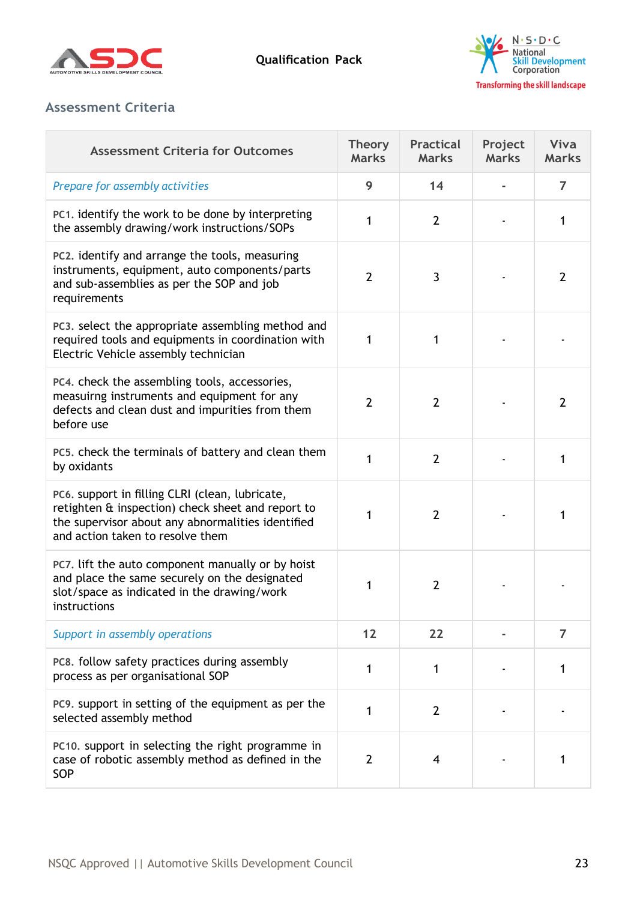



# **Assessment Criteria**

| <b>Assessment Criteria for Outcomes</b>                                                                                                                                                       | <b>Theory</b><br><b>Marks</b> | <b>Practical</b><br><b>Marks</b> | Project<br><b>Marks</b> | Viva<br><b>Marks</b> |
|-----------------------------------------------------------------------------------------------------------------------------------------------------------------------------------------------|-------------------------------|----------------------------------|-------------------------|----------------------|
| Prepare for assembly activities                                                                                                                                                               | 9                             | 14                               |                         | 7                    |
| PC1. identify the work to be done by interpreting<br>the assembly drawing/work instructions/SOPs                                                                                              | 1                             | $\overline{2}$                   |                         | 1                    |
| PC2. identify and arrange the tools, measuring<br>instruments, equipment, auto components/parts<br>and sub-assemblies as per the SOP and job<br>requirements                                  | $\overline{2}$                | 3                                |                         | $\overline{2}$       |
| PC3. select the appropriate assembling method and<br>required tools and equipments in coordination with<br>Electric Vehicle assembly technician                                               | 1                             | 1                                |                         |                      |
| PC4. check the assembling tools, accessories,<br>measuirng instruments and equipment for any<br>defects and clean dust and impurities from them<br>before use                                 | $\overline{2}$                | $\overline{2}$                   |                         | $\overline{2}$       |
| PC5. check the terminals of battery and clean them<br>by oxidants                                                                                                                             | 1                             | $\overline{2}$                   |                         | 1                    |
| PC6. support in filling CLRI (clean, lubricate,<br>retighten & inspection) check sheet and report to<br>the supervisor about any abnormalities identified<br>and action taken to resolve them | 1                             | $\overline{2}$                   |                         |                      |
| PC7. lift the auto component manually or by hoist<br>and place the same securely on the designated<br>slot/space as indicated in the drawing/work<br>instructions                             | 1                             | $\overline{2}$                   |                         |                      |
| Support in assembly operations                                                                                                                                                                | 12                            | 22                               |                         | $\overline{7}$       |
| PC8. follow safety practices during assembly<br>process as per organisational SOP                                                                                                             | 1                             | 1                                |                         | 1                    |
| PC9. support in setting of the equipment as per the<br>selected assembly method                                                                                                               | 1                             | $\overline{2}$                   |                         |                      |
| PC10. support in selecting the right programme in<br>case of robotic assembly method as defined in the<br>SOP                                                                                 | $\overline{2}$                | 4                                |                         |                      |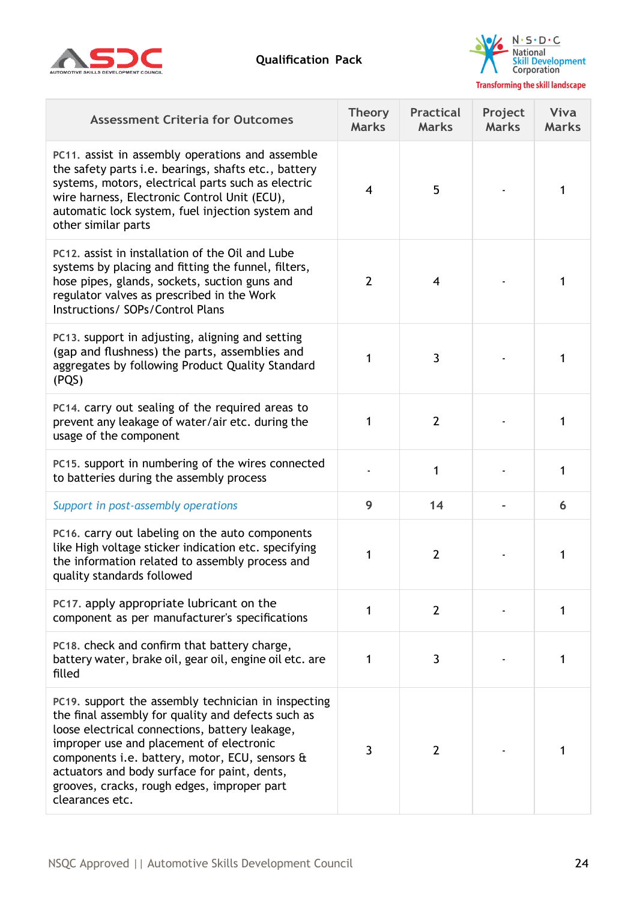



| <b>Assessment Criteria for Outcomes</b>                                                                                                                                                                                                                                                                                                                                     | <b>Theory</b><br><b>Marks</b> | <b>Practical</b><br><b>Marks</b> | Project<br><b>Marks</b> | Viva<br><b>Marks</b> |
|-----------------------------------------------------------------------------------------------------------------------------------------------------------------------------------------------------------------------------------------------------------------------------------------------------------------------------------------------------------------------------|-------------------------------|----------------------------------|-------------------------|----------------------|
| PC11. assist in assembly operations and assemble<br>the safety parts i.e. bearings, shafts etc., battery<br>systems, motors, electrical parts such as electric<br>wire harness, Electronic Control Unit (ECU),<br>automatic lock system, fuel injection system and<br>other similar parts                                                                                   | $\overline{4}$                | 5                                |                         | 1                    |
| PC12, assist in installation of the Oil and Lube<br>systems by placing and fitting the funnel, filters,<br>hose pipes, glands, sockets, suction guns and<br>regulator valves as prescribed in the Work<br>Instructions/ SOPs/Control Plans                                                                                                                                  | $\overline{2}$                | 4                                |                         |                      |
| PC13. support in adjusting, aligning and setting<br>(gap and flushness) the parts, assemblies and<br>aggregates by following Product Quality Standard<br>(PQS)                                                                                                                                                                                                              | 1                             | 3                                |                         |                      |
| PC14. carry out sealing of the required areas to<br>prevent any leakage of water/air etc. during the<br>usage of the component                                                                                                                                                                                                                                              | 1                             | $\overline{2}$                   |                         | 1                    |
| PC15. support in numbering of the wires connected<br>to batteries during the assembly process                                                                                                                                                                                                                                                                               |                               | 1                                |                         | 1                    |
| Support in post-assembly operations                                                                                                                                                                                                                                                                                                                                         | 9                             | 14                               |                         | 6                    |
| PC16. carry out labeling on the auto components<br>like High voltage sticker indication etc. specifying<br>the information related to assembly process and<br>quality standards followed                                                                                                                                                                                    | 1                             | $\overline{2}$                   |                         | 1                    |
| PC17. apply appropriate lubricant on the<br>component as per manufacturer's specifications                                                                                                                                                                                                                                                                                  | 1                             | $\overline{2}$                   |                         | 1                    |
| PC18. check and confirm that battery charge,<br>battery water, brake oil, gear oil, engine oil etc. are<br>filled                                                                                                                                                                                                                                                           | 1                             | 3                                |                         | 1                    |
| PC19. support the assembly technician in inspecting<br>the final assembly for quality and defects such as<br>loose electrical connections, battery leakage,<br>improper use and placement of electronic<br>components i.e. battery, motor, ECU, sensors &<br>actuators and body surface for paint, dents,<br>grooves, cracks, rough edges, improper part<br>clearances etc. | 3                             | $\overline{2}$                   |                         |                      |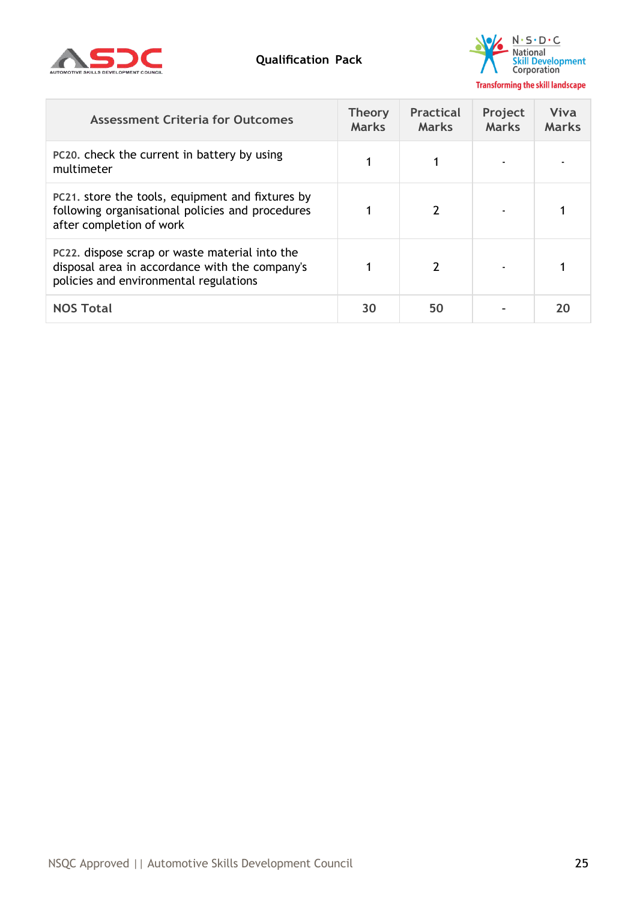



| <b>Assessment Criteria for Outcomes</b>                                                                                                    | <b>Theory</b><br><b>Marks</b> | <b>Practical</b><br><b>Marks</b> | Project<br><b>Marks</b> | Viva<br><b>Marks</b> |
|--------------------------------------------------------------------------------------------------------------------------------------------|-------------------------------|----------------------------------|-------------------------|----------------------|
| PC20, check the current in battery by using<br>multimeter                                                                                  |                               |                                  |                         |                      |
| PC21. store the tools, equipment and fixtures by<br>following organisational policies and procedures<br>after completion of work           |                               |                                  |                         |                      |
| PC22. dispose scrap or waste material into the<br>disposal area in accordance with the company's<br>policies and environmental regulations |                               | 2                                |                         |                      |
| <b>NOS Total</b>                                                                                                                           | 30                            | 50                               |                         |                      |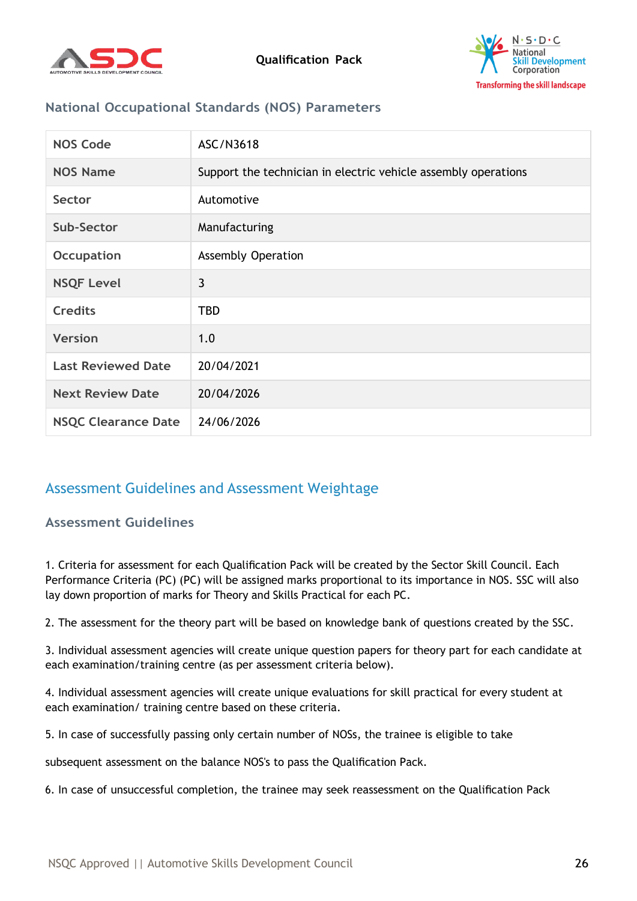



# **National Occupational Standards (NOS) Parameters**

| <b>NOS Code</b>            | ASC/N3618                                                      |
|----------------------------|----------------------------------------------------------------|
| <b>NOS Name</b>            | Support the technician in electric vehicle assembly operations |
| Sector                     | Automotive                                                     |
| Sub-Sector                 | Manufacturing                                                  |
| <b>Occupation</b>          | <b>Assembly Operation</b>                                      |
| <b>NSQF Level</b>          | 3                                                              |
| <b>Credits</b>             | <b>TBD</b>                                                     |
| <b>Version</b>             | 1.0                                                            |
| <b>Last Reviewed Date</b>  | 20/04/2021                                                     |
| <b>Next Review Date</b>    | 20/04/2026                                                     |
| <b>NSQC Clearance Date</b> | 24/06/2026                                                     |

# <span id="page-25-0"></span>Assessment Guidelines and Assessment Weightage

#### **Assessment Guidelines**

1. Criteria for assessment for each Qualification Pack will be created by the Sector Skill Council. Each Performance Criteria (PC) (PC) will be assigned marks proportional to its importance in NOS. SSC will also lay down proportion of marks for Theory and Skills Practical for each PC.

2. The assessment for the theory part will be based on knowledge bank of questions created by the SSC.

3. Individual assessment agencies will create unique question papers for theory part for each candidate at each examination/training centre (as per assessment criteria below).

4. Individual assessment agencies will create unique evaluations for skill practical for every student at each examination/ training centre based on these criteria.

5. In case of successfully passing only certain number of NOSs, the trainee is eligible to take

subsequent assessment on the balance NOS's to pass the Qualification Pack.

6. In case of unsuccessful completion, the trainee may seek reassessment on the Qualification Pack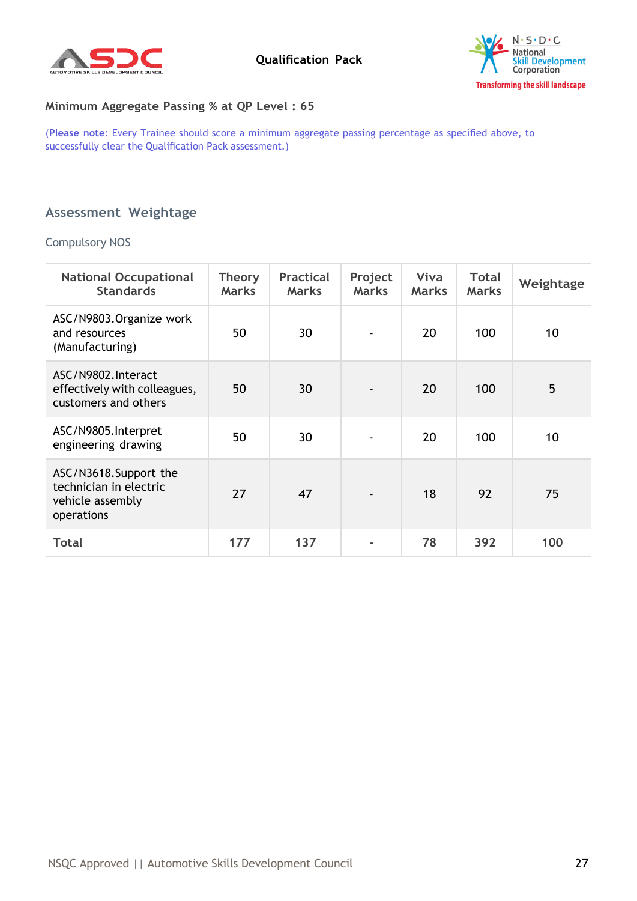



#### **Minimum Aggregate Passing % at QP Level : 65**

(**Please note**: Every Trainee should score a minimum aggregate passing percentage as specified above, to successfully clear the Qualification Pack assessment.)

## <span id="page-26-0"></span>**Assessment Weightage**

#### Compulsory NOS

| <b>National Occupational</b><br><b>Standards</b>                                  | Theory<br><b>Marks</b> | <b>Practical</b><br><b>Marks</b> | Project<br><b>Marks</b> | Viva<br><b>Marks</b> | <b>Total</b><br><b>Marks</b> | Weightage |
|-----------------------------------------------------------------------------------|------------------------|----------------------------------|-------------------------|----------------------|------------------------------|-----------|
| ASC/N9803.Organize work<br>and resources<br>(Manufacturing)                       | 50                     | 30                               | $\blacksquare$          | 20                   | 100                          | 10        |
| ASC/N9802.Interact<br>effectively with colleagues,<br>customers and others        | 50                     | 30                               |                         | 20                   | 100                          | 5         |
| ASC/N9805.Interpret<br>engineering drawing                                        | 50                     | 30                               |                         | 20                   | 100                          | 10        |
| ASC/N3618.Support the<br>technician in electric<br>vehicle assembly<br>operations | 27                     | 47                               |                         | 18                   | 92                           | 75        |
| <b>Total</b>                                                                      | 177                    | 137                              |                         | 78                   | 392                          | 100       |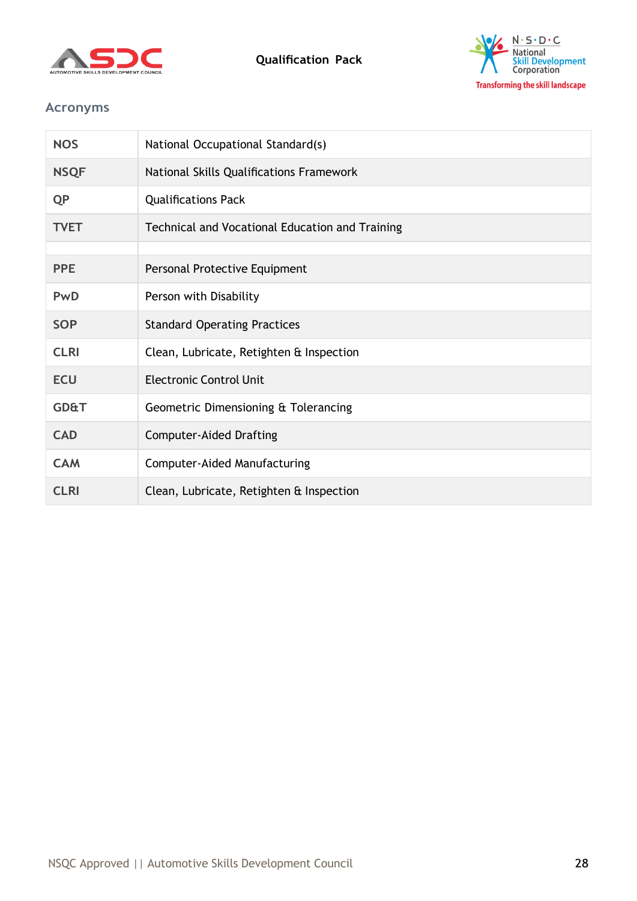



# <span id="page-27-0"></span>**Acronyms**

| <b>NOS</b>      | National Occupational Standard(s)               |
|-----------------|-------------------------------------------------|
| <b>NSQF</b>     | National Skills Qualifications Framework        |
| <b>QP</b>       | <b>Qualifications Pack</b>                      |
| <b>TVET</b>     | Technical and Vocational Education and Training |
|                 |                                                 |
| <b>PPE</b>      | Personal Protective Equipment                   |
| PwD             | Person with Disability                          |
| <b>SOP</b>      | <b>Standard Operating Practices</b>             |
| <b>CLRI</b>     | Clean, Lubricate, Retighten & Inspection        |
| <b>ECU</b>      | <b>Electronic Control Unit</b>                  |
| <b>GD&amp;T</b> | Geometric Dimensioning & Tolerancing            |
| <b>CAD</b>      | <b>Computer-Aided Drafting</b>                  |
| <b>CAM</b>      | <b>Computer-Aided Manufacturing</b>             |
| <b>CLRI</b>     | Clean, Lubricate, Retighten & Inspection        |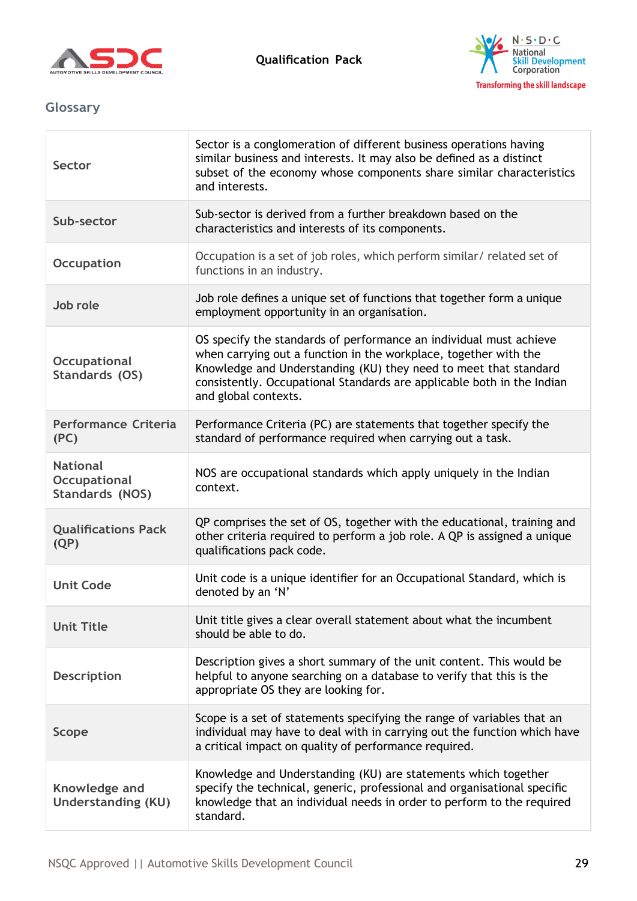



# <span id="page-28-0"></span>**Glossary**

| Sector                                                    | Sector is a conglomeration of different business operations having<br>similar business and interests. It may also be defined as a distinct<br>subset of the economy whose components share similar characteristics<br>and interests.                                                                         |
|-----------------------------------------------------------|--------------------------------------------------------------------------------------------------------------------------------------------------------------------------------------------------------------------------------------------------------------------------------------------------------------|
| Sub-sector                                                | Sub-sector is derived from a further breakdown based on the<br>characteristics and interests of its components.                                                                                                                                                                                              |
| <b>Occupation</b>                                         | Occupation is a set of job roles, which perform similar/ related set of<br>functions in an industry.                                                                                                                                                                                                         |
| Job role                                                  | Job role defines a unique set of functions that together form a unique<br>employment opportunity in an organisation.                                                                                                                                                                                         |
| <b>Occupational</b><br>Standards (OS)                     | OS specify the standards of performance an individual must achieve<br>when carrying out a function in the workplace, together with the<br>Knowledge and Understanding (KU) they need to meet that standard<br>consistently. Occupational Standards are applicable both in the Indian<br>and global contexts. |
| <b>Performance Criteria</b><br>(PC)                       | Performance Criteria (PC) are statements that together specify the<br>standard of performance required when carrying out a task.                                                                                                                                                                             |
| <b>National</b><br><b>Occupational</b><br>Standards (NOS) | NOS are occupational standards which apply uniquely in the Indian<br>context.                                                                                                                                                                                                                                |
| <b>Qualifications Pack</b><br>(QP)                        | QP comprises the set of OS, together with the educational, training and<br>other criteria required to perform a job role. A QP is assigned a unique<br>qualifications pack code.                                                                                                                             |
| <b>Unit Code</b>                                          | Unit code is a unique identifier for an Occupational Standard, which is<br>denoted by an 'N'                                                                                                                                                                                                                 |
| <b>Unit Title</b>                                         | Unit title gives a clear overall statement about what the incumbent<br>should be able to do.                                                                                                                                                                                                                 |
| <b>Description</b>                                        | Description gives a short summary of the unit content. This would be<br>helpful to anyone searching on a database to verify that this is the<br>appropriate OS they are looking for.                                                                                                                         |
| <b>Scope</b>                                              | Scope is a set of statements specifying the range of variables that an<br>individual may have to deal with in carrying out the function which have<br>a critical impact on quality of performance required.                                                                                                  |
| Knowledge and<br><b>Understanding (KU)</b>                | Knowledge and Understanding (KU) are statements which together<br>specify the technical, generic, professional and organisational specific<br>knowledge that an individual needs in order to perform to the required<br>standard.                                                                            |